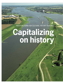New functions for cultural history features

# **Capitalizing on history**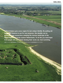**Cultural history give every region its own unique identity. By putting old landscape features to use for new purposes, this identity can be preserved, say researchers studying the riverine landscape of the Rijnstrangen area in the eastern Netherlands. To do this you need input from people who don't mind sticking their necks out. And marketing. Text** Rik nijland **Photography** Hollandse Hoogte and Hans Wolkers **Illustration** Jenny van Driel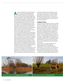**As soon as John Mulder (64), cultural heritage re-<br>
searcher at Alterra, part of Wageningen UR,<br>
drives into the Rijnstrangen area between the** searcher at Alterra, part of Wageningen UR, drives into the Rijnstrangen area between the Rhine and the Waal rivers in the eastern Netherlands, he doesn't stop talking. He notices flood gullies, earthworks and dike houses, ridges, overflow channels, and cross-dikes built by villagers at the end of the middle ages to hold back the water if the river dike broke in the neighbouring village. Between them, river and humans have formed a varied landscape here. Not that this is obvious to the untrained eye looking at this cultural landscape north of the Waal river, between the settlements of Lobith, Oud Zevenaar and Doornenburg castle, just across the Pannerden canal. But with Mulder's running commentary providing one enthusiastic story after another, you won't miss it. It was 30 years ago that Mulder first visited this district with a colleague from the former Stiboka (a foundation for soil mapping), in search of traces of Roman settlements. The passion that was borne then now shines out of the report Key to the past, key to the future, compiled by Mulder together with Ferdinand van Hemmen of the Bureau for Landscape History in Huissen and Marije Tilstra of consultancy firm Royal HasKoning. At the request of the province of Gelderland, the three municipalities in the area and the Rhine and Ijssel water board explored the question: what is the cultural-historic value of the area and how can this be exploited? 'Cultural history gives the area its identity and it's a calling card, but it can also play a role in inspiring new developments', says Mulder at De Panoven, a property just south of Zevenaar. 'The owner has restored this old brick and roof tile factory from 1850, which is next door

to his hotel, and turned it into an information centre about the brick industry. And he rents out the drying shed as group accommodation. So a piece of cultural heritage that was going to pot has been given a new lease of life by this private initiative', says Mulder. 'Did you know that the Rijnstrangen area was the cradle of the Dutch brick industry?'

#### **Tourism potential**

The district has great potential for tourism, for example for walkers or cyclists, say the writers of the report. All the more so if the region does more to cherish and emphasize its cultural history. This means putting disused old features to use for new purposes. These would vary from reintroducing the steam engine in an abandoned pump house to creating a hiking route taking in the earthworks and fortifications erected as defences during the Dutch war of independence in the  $16<sup>th</sup>$  and  $17<sup>th</sup>$ centuries. 'You can bring the cultural history to life even more there by offering supplementary information via smartphones', suggests Mulder. Such information has a nationwide appeal, in his view. 'The Rijnstrangen are riddled with the traces of events that had a far-reaching impact on our national history as well as the history of our waterways.'

This was where, in the 1630s, Johan Maurits and Fredrik Hendrik successively besieged the Schenkenschans fortress, which had fallen into Spanish hands. It was also where, in the 'disaster year' of 1672, French King Louis XIV's troops crossed the silted up Rhine almost unopposed. This was then such a weak point in the national defences that the decision was taken in The Hague to dig the Pannerden canal, in-



The rope ferry provides a taste of **traditional means of transport.** Old farm polders form the basis for **new nature areas.**

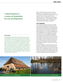# **'Cultural history is a source of inspiration for new developments'**

## **belvedere**

In the *Belvedere memorandum* of 1999, the Dutch government acknowledged the value of cultural heritage in the Dutch landscape for the first time. Many provinces picked up on the theme. For example, the province of Gelderland issued the *Belvoir* policy paper a year later, expressing the aim of conducting a heritage policy in which spatial, economic and cultural interests would reinforce and inspire each other. The research on the *Rijnstrangen* was carried out with a Belvoir grant. Meanwhile, the *Belvedere* memo has been followed up with *Opting for character, visual heritage and space*, in which the cabinet outlines its strategy for the period up until 2015. The main implementing body for this policy is the Netherlands Cultural Heritage Agency, under the ministry of Education, Culture and Science.

itially as a defence line but later also to reroute the Rhine and as an essential part of the series of waterbased defences called the New Dutch Water Line. And it was here, in the  $17<sup>th</sup>$  century, that the Waal river changed its course in a northerly loop, threatening to merge with the Rhine. 'If that had happened, Leiden and all the larger towns in the west of the country would have been in big trouble', says Mulder.

#### **Fort Pannerden**

The prototype and showpiece for the water management and military importance of the district is the recently restored Fort Pannerden, which safeguarded the steady flow of water to the water line. According to the authors of this report, this location should grow into a major attraction. This is one of their 19 suggestions for how to highlight the area's cultural history and stimulate the local economy. The suggestions range from new hiking routes to a large-scale plan for digging a new channel between the Upper Rhine and the course of the old Rhine – if that can be done safely. This would create scope not only for emergency water storage in times of flood, but also for constructing some top-end housing and restoring the lost harbour at Lobith for pleasure boats or perhaps as a boatyard for the restoration of old ships.

It is easier to capitalize on cultural history in the cities than in the countryside, says Eric Luiten, professor of Cultural History and Design at the Technical University of Delft. Luiten, a Wageningen alumnus, was one of the speakers at the congress on the ecological and economic value of cultural history hosted by Van Hall Larenstein University of Applied Sciences at the beginning on **>**



An old farmhouse lives on as a **country home.** A former groundwater seepage pool now serves for **water storage.**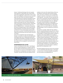January. 'Architectural heritage in the city is popular with companies or with people in the creative professions who are looking for a special place to live or work. That is more difficult in a rural area; you can't put buildings to new uses if there is no interest in doing so.' Luiten himself became well known through his involvement in the restoration of the New Dutch Water Line. Luiten: 'To make a success of a project of this sort, it is important that people who don't mind sticking their necks out feel part of a kind of movement, and feel they are working together on a local revival. It has to be a kind of childhood dream – a restaurateur who pursues his dream of setting up shop in a fort in spite his bookkeeper muttering, 'Do you know what you are letting yourself in for?' The second requisite is good marketing, Luiten is convinced. 'For the Water Line there is an organization that promotes the forts and the events laid on in them.'

It has not yet reached this stage in the Rijnstrangen, though, as councillor Jos Lamers from the Rijnwaarden municipality makes clear. Collaboration between the surrounding municipalities is gradually increasing, but his efforts to map out a canoeing trail for nature-lovers, for example, have run up against a veto from the state forest service.

#### **Entrepreneurs into action**

Lamers is very impressed by the report. 'You often get all sorts of claims being made in a scientific study like this, but without much link with everyday practice. In this case, there are concrete recommendations in the report which we, or entrepreneurs, can take up', says the councillor. The report also draws the attention of local

residents to the value of the cultural history of the area. 'By linking its conservation with economic developments, you create a sound basis. If you are dependent on grants or sponsors, conservation is a lot less secure in the long term´, says Lamers. He tries to get this message across to restaurateurs and other entrepreneurs in the area, to inspire them into action. For example, there is still a lack of accommodation in the area, although the number of bed & breakfasts is rising rapidly. 'I could imagine that at some point we will apply for the status of UNESCO World Heritage site, as the report suggests, but it is too early for that now. The idea that the Rijnstrangen is such an exceptional area still has to take root.'

The question is, though, whether this idea is likely to take root, especially among the young. After all, cultural history is traditionally the preserve of the over-55s, isn't it? John Mulder, no spring chicken himself, responds as though he's been stung. Rubbish. OK, he admits, it might not be so easy to interest young people in the finer details of historic field patterns. 'But just ask them: where would you rather go shopping, in Amersvoort or Almere? The vast majority will go for the historic city centre of Amersvoort. That is somewhere where you are immersed in cultural history. In the countryside too, cultural heritage contributes to a local identity and colour, and people are proud of their district. And that is appreciated, by young people as well.'

The Dutch-language report Key to the past; key to the future – the rich cultural history of the Rijnstrangen as a driving force in economic revival. An evaluation of qualities and opportunities can be found at [www.gelderland.nl](http://www.gelderland.nl/Documenten/Themas/Cultuurhistorie/Behoud%20cultuurhistorie/Cultuurhistorie_Rijnstrangen21nov11.pdf)  $\blacksquare$ 



A skip train **shows how the old kilns worked.** A fortification that is now in use as **a winery.** A fortification that is now in use as **a winery.**